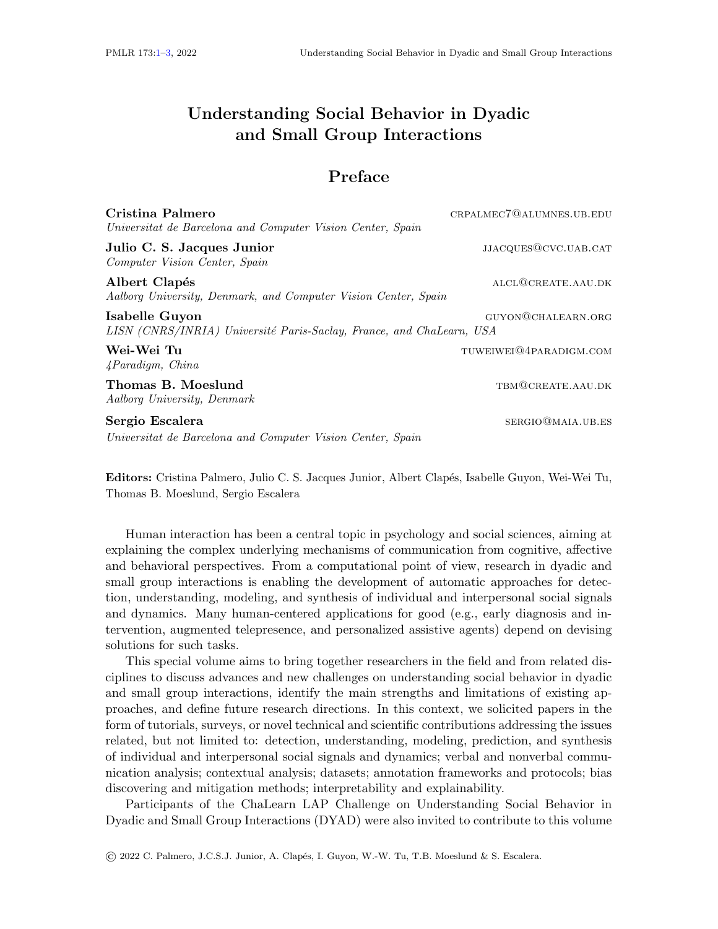## <span id="page-0-0"></span>Understanding Social Behavior in Dyadic and Small Group Interactions

## Preface

| Cristina Palmero<br>Universitat de Barcelona and Computer Vision Center, Spain         | CRPALMEC7@ALUMNES.UB.EDU |
|----------------------------------------------------------------------------------------|--------------------------|
| Julio C. S. Jacques Junior<br>Computer Vision Center, Spain                            | JJACQUES@CVC.UAB.CAT     |
| Albert Clapés<br>Aalborg University, Denmark, and Computer Vision Center, Spain        | ALCL@CREATE.AAU.DK       |
| Isabelle Guyon<br>LISN (CNRS/INRIA) Université Paris-Saclay, France, and ChaLearn, USA | GUYON@CHALEARN.ORG       |
| Wei-Wei Tu<br>4Paradigm, China                                                         | TUWEIWEI@4PARADIGM.COM   |
| Thomas B. Moeslund<br>Aalborg University, Denmark                                      | TBM@CREATE.AAU.DK        |
| Sergio Escalera<br>Universitat de Barcelona and Computer Vision Center, Spain          | SERGIO@MAIA.UB.ES        |

Editors: Cristina Palmero, Julio C. S. Jacques Junior, Albert Clap´es, Isabelle Guyon, Wei-Wei Tu, Thomas B. Moeslund, Sergio Escalera

Human interaction has been a central topic in psychology and social sciences, aiming at explaining the complex underlying mechanisms of communication from cognitive, affective and behavioral perspectives. From a computational point of view, research in dyadic and small group interactions is enabling the development of automatic approaches for detection, understanding, modeling, and synthesis of individual and interpersonal social signals and dynamics. Many human-centered applications for good (e.g., early diagnosis and intervention, augmented telepresence, and personalized assistive agents) depend on devising solutions for such tasks.

This special volume aims to bring together researchers in the field and from related disciplines to discuss advances and new challenges on understanding social behavior in dyadic and small group interactions, identify the main strengths and limitations of existing approaches, and define future research directions. In this context, we solicited papers in the form of tutorials, surveys, or novel technical and scientific contributions addressing the issues related, but not limited to: detection, understanding, modeling, prediction, and synthesis of individual and interpersonal social signals and dynamics; verbal and nonverbal communication analysis; contextual analysis; datasets; annotation frameworks and protocols; bias discovering and mitigation methods; interpretability and explainability.

Participants of the ChaLearn LAP Challenge on Understanding Social Behavior in Dyadic and Small Group Interactions (DYAD) were also invited to contribute to this volume

© 2022 C. Palmero, J.C.S.J. Junior, A. Clap´es, I. Guyon, W.-W. Tu, T.B. Moeslund & S. Escalera.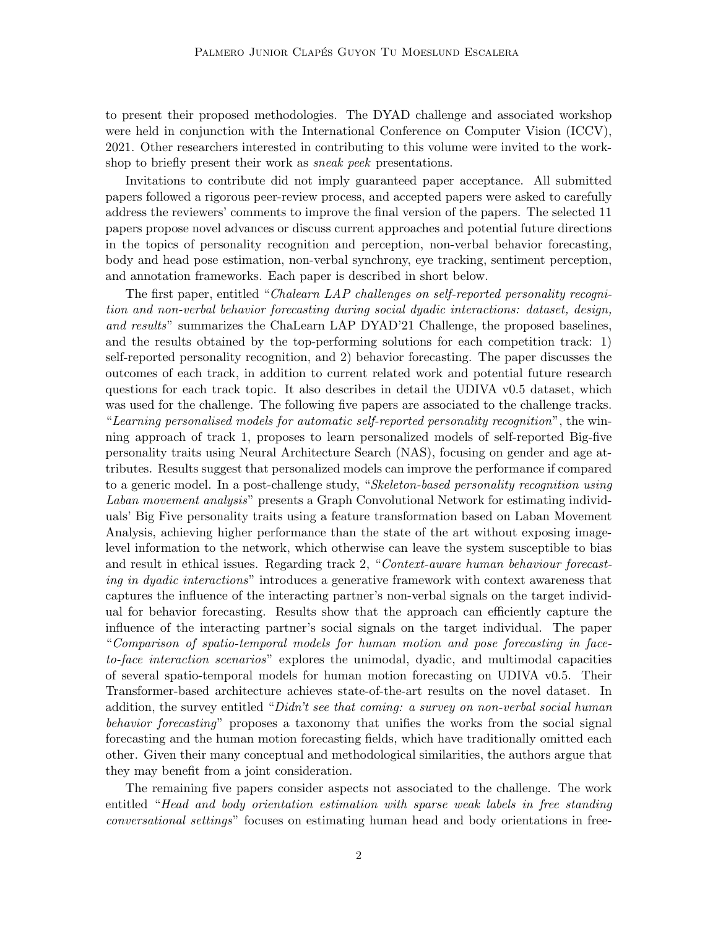to present their proposed methodologies. The DYAD challenge and associated workshop were held in conjunction with the International Conference on Computer Vision (ICCV), 2021. Other researchers interested in contributing to this volume were invited to the workshop to briefly present their work as *sneak peek* presentations.

Invitations to contribute did not imply guaranteed paper acceptance. All submitted papers followed a rigorous peer-review process, and accepted papers were asked to carefully address the reviewers' comments to improve the final version of the papers. The selected 11 papers propose novel advances or discuss current approaches and potential future directions in the topics of personality recognition and perception, non-verbal behavior forecasting, body and head pose estimation, non-verbal synchrony, eye tracking, sentiment perception, and annotation frameworks. Each paper is described in short below.

The first paper, entitled "Chalearn LAP challenges on self-reported personality recognition and non-verbal behavior forecasting during social dyadic interactions: dataset, design, and results" summarizes the ChaLearn LAP DYAD'21 Challenge, the proposed baselines, and the results obtained by the top-performing solutions for each competition track: 1) self-reported personality recognition, and 2) behavior forecasting. The paper discusses the outcomes of each track, in addition to current related work and potential future research questions for each track topic. It also describes in detail the UDIVA v0.5 dataset, which was used for the challenge. The following five papers are associated to the challenge tracks. "Learning personalised models for automatic self-reported personality recognition", the winning approach of track 1, proposes to learn personalized models of self-reported Big-five personality traits using Neural Architecture Search (NAS), focusing on gender and age attributes. Results suggest that personalized models can improve the performance if compared to a generic model. In a post-challenge study, "Skeleton-based personality recognition using Laban movement analysis" presents a Graph Convolutional Network for estimating individuals' Big Five personality traits using a feature transformation based on Laban Movement Analysis, achieving higher performance than the state of the art without exposing imagelevel information to the network, which otherwise can leave the system susceptible to bias and result in ethical issues. Regarding track 2, "Context-aware human behaviour forecasting in dyadic interactions" introduces a generative framework with context awareness that captures the influence of the interacting partner's non-verbal signals on the target individual for behavior forecasting. Results show that the approach can efficiently capture the influence of the interacting partner's social signals on the target individual. The paper "Comparison of spatio-temporal models for human motion and pose forecasting in faceto-face interaction scenarios" explores the unimodal, dyadic, and multimodal capacities of several spatio-temporal models for human motion forecasting on UDIVA v0.5. Their Transformer-based architecture achieves state-of-the-art results on the novel dataset. In addition, the survey entitled " $Didn't$  see that coming: a survey on non-verbal social human behavior forecasting" proposes a taxonomy that unifies the works from the social signal forecasting and the human motion forecasting fields, which have traditionally omitted each other. Given their many conceptual and methodological similarities, the authors argue that they may benefit from a joint consideration.

The remaining five papers consider aspects not associated to the challenge. The work entitled "Head and body orientation estimation with sparse weak labels in free standing conversational settings" focuses on estimating human head and body orientations in free-